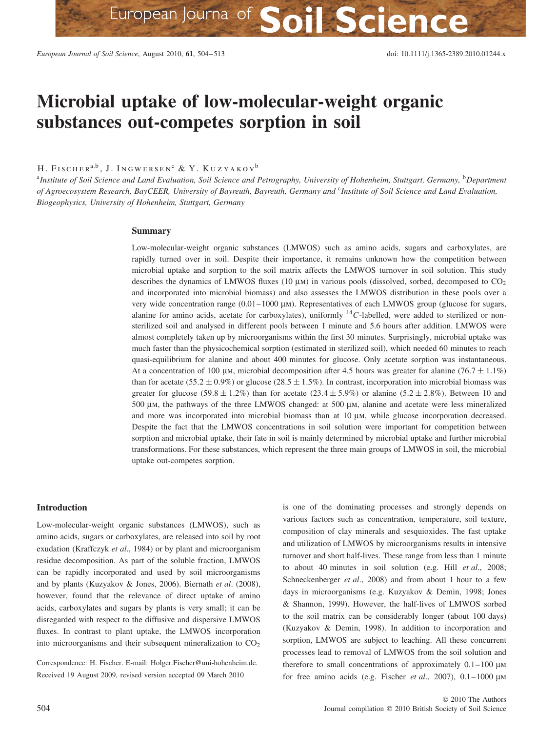# **Microbial uptake of low-molecular-weight organic substances out-competes sorption in soil**

H. FISCHER<sup>a,b</sup>, J. INGWERSEN<sup>c</sup> & Y. KUZYAKOV<sup>b</sup>

<sup>a</sup>*Institute of Soil Science and Land Evaluation, Soil Science and Petrography, University of Hohenheim, Stuttgart, Germany,* <sup>b</sup>*Department of Agroecosystem Research, BayCEER, University of Bayreuth, Bayreuth, Germany and* <sup>c</sup>*Institute of Soil Science and Land Evaluation, Biogeophysics, University of Hohenheim, Stuttgart, Germany*

#### **Summary**

Low-molecular-weight organic substances (LMWOS) such as amino acids, sugars and carboxylates, are rapidly turned over in soil. Despite their importance, it remains unknown how the competition between microbial uptake and sorption to the soil matrix affects the LMWOS turnover in soil solution. This study describes the dynamics of LMWOS fluxes (10  $\mu$ m) in various pools (dissolved, sorbed, decomposed to CO<sub>2</sub> and incorporated into microbial biomass) and also assesses the LMWOS distribution in these pools over a very wide concentration range (0.01–1000 μm). Representatives of each LMWOS group (glucose for sugars, alanine for amino acids, acetate for carboxylates), uniformly <sup>14</sup>*C*-labelled, were added to sterilized or nonsterilized soil and analysed in different pools between 1 minute and 5.6 hours after addition. LMWOS were almost completely taken up by microorganisms within the first 30 minutes. Surprisingly, microbial uptake was much faster than the physicochemical sorption (estimated in sterilized soil), which needed 60 minutes to reach quasi-equilibrium for alanine and about 400 minutes for glucose. Only acetate sorption was instantaneous. At a concentration of 100 μm, microbial decomposition after 4.5 hours was greater for alanine (76.7  $\pm$  1.1%) than for acetate  $(55.2 \pm 0.9\%)$  or glucose  $(28.5 \pm 1.5\%)$ . In contrast, incorporation into microbial biomass was greater for glucose  $(59.8 \pm 1.2\%)$  than for acetate  $(23.4 \pm 5.9\%)$  or alanine  $(5.2 \pm 2.8\%)$ . Between 10 and 500 μm, the pathways of the three LMWOS changed: at 500 μm, alanine and acetate were less mineralized and more was incorporated into microbial biomass than at 10 μm, while glucose incorporation decreased. Despite the fact that the LMWOS concentrations in soil solution were important for competition between sorption and microbial uptake, their fate in soil is mainly determined by microbial uptake and further microbial transformations. For these substances, which represent the three main groups of LMWOS in soil, the microbial uptake out-competes sorption.

## **Introduction**

Low-molecular-weight organic substances (LMWOS), such as amino acids, sugars or carboxylates, are released into soil by root exudation (Kraffczyk *et al*., 1984) or by plant and microorganism residue decomposition. As part of the soluble fraction, LMWOS can be rapidly incorporated and used by soil microorganisms and by plants (Kuzyakov & Jones, 2006). Biernath *et al*. (2008), however, found that the relevance of direct uptake of amino acids, carboxylates and sugars by plants is very small; it can be disregarded with respect to the diffusive and dispersive LMWOS fluxes. In contrast to plant uptake, the LMWOS incorporation into microorganisms and their subsequent mineralization to  $CO<sub>2</sub>$ 

Correspondence: H. Fischer. E-mail: Holger.Fischer@uni-hohenheim.de. Received 19 August 2009, revised version accepted 09 March 2010

is one of the dominating processes and strongly depends on various factors such as concentration, temperature, soil texture, composition of clay minerals and sesquioxides. The fast uptake and utilization of LMWOS by microorganisms results in intensive turnover and short half-lives. These range from less than 1 minute to about 40 minutes in soil solution (e.g. Hill *et al*., 2008; Schneckenberger *et al*., 2008) and from about 1 hour to a few days in microorganisms (e.g. Kuzyakov & Demin, 1998; Jones & Shannon, 1999). However, the half-lives of LMWOS sorbed to the soil matrix can be considerably longer (about 100 days) (Kuzyakov & Demin, 1998). In addition to incorporation and sorption, LMWOS are subject to leaching. All these concurrent processes lead to removal of LMWOS from the soil solution and therefore to small concentrations of approximately 0.1–100 μm for free amino acids (e.g. Fischer *et al*., 2007), 0.1–1000 μm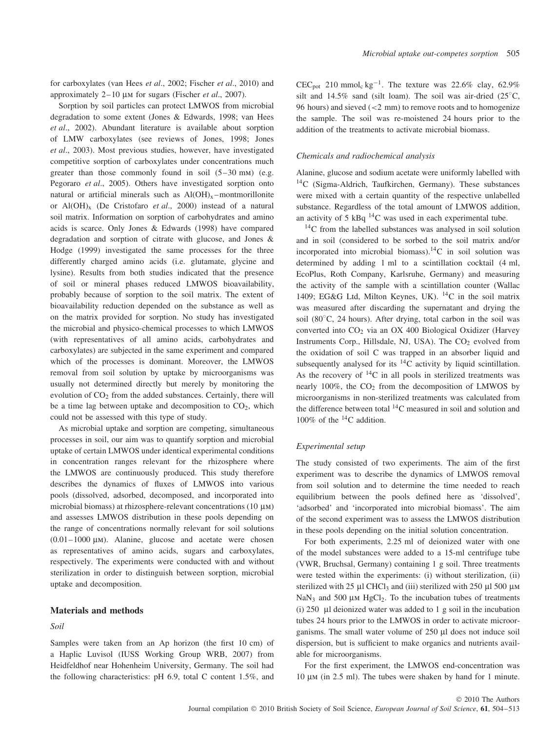for carboxylates (van Hees *et al*., 2002; Fischer *et al*., 2010) and approximately 2–10 μm for sugars (Fischer *et al*., 2007).

Sorption by soil particles can protect LMWOS from microbial degradation to some extent (Jones & Edwards, 1998; van Hees *et al*., 2002). Abundant literature is available about sorption of LMW carboxylates (see reviews of Jones, 1998; Jones *et al*., 2003). Most previous studies, however, have investigated competitive sorption of carboxylates under concentrations much greater than those commonly found in soil (5–30 mm) (e.g. Pegoraro *et al*., 2005). Others have investigated sorption onto natural or artificial minerals such as  $Al(OH)_x$  –montmorillonite or Al(OH)x (De Cristofaro *et al*., 2000) instead of a natural soil matrix. Information on sorption of carbohydrates and amino acids is scarce. Only Jones & Edwards (1998) have compared degradation and sorption of citrate with glucose, and Jones & Hodge (1999) investigated the same processes for the three differently charged amino acids (i.e. glutamate, glycine and lysine). Results from both studies indicated that the presence of soil or mineral phases reduced LMWOS bioavailability, probably because of sorption to the soil matrix. The extent of bioavailability reduction depended on the substance as well as on the matrix provided for sorption. No study has investigated the microbial and physico-chemical processes to which LMWOS (with representatives of all amino acids, carbohydrates and carboxylates) are subjected in the same experiment and compared which of the processes is dominant. Moreover, the LMWOS removal from soil solution by uptake by microorganisms was usually not determined directly but merely by monitoring the evolution of  $CO<sub>2</sub>$  from the added substances. Certainly, there will be a time lag between uptake and decomposition to  $CO<sub>2</sub>$ , which could not be assessed with this type of study.

As microbial uptake and sorption are competing, simultaneous processes in soil, our aim was to quantify sorption and microbial uptake of certain LMWOS under identical experimental conditions in concentration ranges relevant for the rhizosphere where the LMWOS are continuously produced. This study therefore describes the dynamics of fluxes of LMWOS into various pools (dissolved, adsorbed, decomposed, and incorporated into microbial biomass) at rhizosphere-relevant concentrations (10 μm) and assesses LMWOS distribution in these pools depending on the range of concentrations normally relevant for soil solutions  $(0.01-1000 \mu)$ . Alanine, glucose and acetate were chosen as representatives of amino acids, sugars and carboxylates, respectively. The experiments were conducted with and without sterilization in order to distinguish between sorption, microbial uptake and decomposition.

#### **Materials and methods**

# *Soil*

Samples were taken from an Ap horizon (the first 10 cm) of a Haplic Luvisol (IUSS Working Group WRB, 2007) from Heidfeldhof near Hohenheim University, Germany. The soil had the following characteristics: pH 6.9, total C content 1.5%, and

 $CEC_{pot}$  210 mmol<sub>c</sub> kg<sup>-1</sup>. The texture was 22.6% clay, 62.9% silt and 14.5% sand (silt loam). The soil was air-dried  $(25^{\circ}C,$ 96 hours) and sieved (*<*2 mm) to remove roots and to homogenize the sample. The soil was re-moistened 24 hours prior to the addition of the treatments to activate microbial biomass.

## *Chemicals and radiochemical analysis*

Alanine, glucose and sodium acetate were uniformly labelled with 14C (Sigma-Aldrich, Taufkirchen, Germany). These substances were mixed with a certain quantity of the respective unlabelled substance. Regardless of the total amount of LMWOS addition, an activity of 5 kBq  $^{14}$ C was used in each experimental tube.

 $14$ C from the labelled substances was analysed in soil solution and in soil (considered to be sorbed to the soil matrix and/or incorporated into microbial biomass).<sup>14</sup>C in soil solution was determined by adding 1 ml to a scintillation cocktail (4 ml, EcoPlus, Roth Company, Karlsruhe, Germany) and measuring the activity of the sample with a scintillation counter (Wallac 1409; EG&G Ltd, Milton Keynes, UK).  $^{14}C$  in the soil matrix was measured after discarding the supernatant and drying the soil (80<sup>°</sup>C, 24 hours). After drying, total carbon in the soil was converted into CO<sub>2</sub> via an OX 400 Biological Oxidizer (Harvey Instruments Corp., Hillsdale, NJ, USA). The  $CO<sub>2</sub>$  evolved from the oxidation of soil C was trapped in an absorber liquid and subsequently analysed for its  $^{14}$ C activity by liquid scintillation. As the recovery of  $^{14}C$  in all pools in sterilized treatments was nearly 100%, the  $CO<sub>2</sub>$  from the decomposition of LMWOS by microorganisms in non-sterilized treatments was calculated from the difference between total  $^{14}$ C measured in soil and solution and 100% of the  ${}^{14}$ C addition.

# *Experimental setup*

The study consisted of two experiments. The aim of the first experiment was to describe the dynamics of LMWOS removal from soil solution and to determine the time needed to reach equilibrium between the pools defined here as 'dissolved', 'adsorbed' and 'incorporated into microbial biomass'. The aim of the second experiment was to assess the LMWOS distribution in these pools depending on the initial solution concentration.

For both experiments, 2.25 ml of deionized water with one of the model substances were added to a 15-ml centrifuge tube (VWR, Bruchsal, Germany) containing 1 g soil. Three treatments were tested within the experiments: (i) without sterilization, (ii) sterilized with 25  $\mu$ l CHCl<sub>3</sub> and (iii) sterilized with 250  $\mu$ l 500  $\mu$ M NaN<sub>3</sub> and 500  $\mu$ M HgCl<sub>2</sub>. To the incubation tubes of treatments (i) 250 μl deionized water was added to 1 g soil in the incubation tubes 24 hours prior to the LMWOS in order to activate microorganisms. The small water volume of 250 μl does not induce soil dispersion, but is sufficient to make organics and nutrients available for microorganisms.

For the first experiment, the LMWOS end-concentration was 10 μm (in 2.5 ml). The tubes were shaken by hand for 1 minute.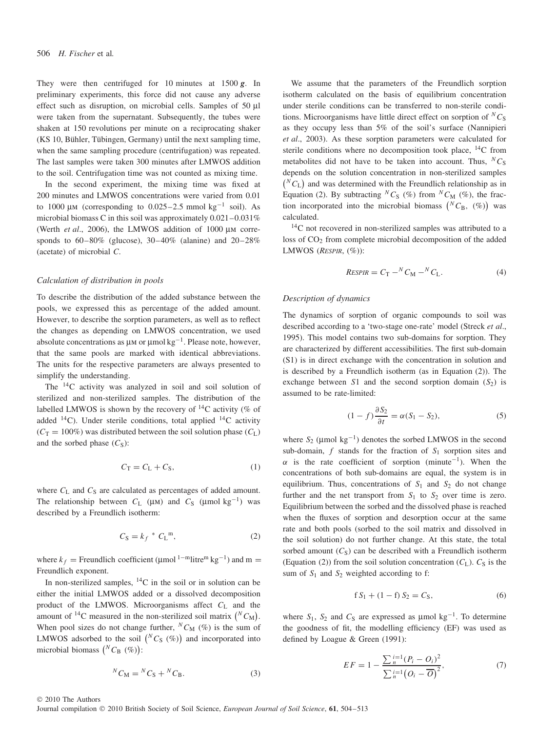They were then centrifuged for 10 minutes at 1500 *g*. In preliminary experiments, this force did not cause any adverse effect such as disruption, on microbial cells. Samples of 50 μl were taken from the supernatant. Subsequently, the tubes were shaken at 150 revolutions per minute on a reciprocating shaker (KS 10, Bühler, Tübingen, Germany) until the next sampling time, when the same sampling procedure (centrifugation) was repeated. The last samples were taken 300 minutes after LMWOS addition to the soil. Centrifugation time was not counted as mixing time.

In the second experiment, the mixing time was fixed at 200 minutes and LMWOS concentrations were varied from 0.01 to 1000 μm (corresponding to 0.025–2.5 mmol kg<sup>-1</sup> soil). As microbial biomass C in this soil was approximately 0.021–0.031% (Werth *et al*., 2006), the LMWOS addition of 1000 μm corresponds to  $60-80\%$  (glucose),  $30-40\%$  (alanine) and  $20-28\%$ (acetate) of microbial *C*.

## *Calculation of distribution in pools*

To describe the distribution of the added substance between the pools, we expressed this as percentage of the added amount. However, to describe the sorption parameters, as well as to reflect the changes as depending on LMWOS concentration, we used absolute concentrations as  $\mu$ m or  $\mu$ mol kg<sup>-1</sup>. Please note, however, that the same pools are marked with identical abbreviations. The units for the respective parameters are always presented to simplify the understanding.

The 14C activity was analyzed in soil and soil solution of sterilized and non-sterilized samples. The distribution of the labelled LMWOS is shown by the recovery of  ${}^{14}C$  activity (% of added  $^{14}$ C). Under sterile conditions, total applied  $^{14}$ C activity  $(C_T = 100\%)$  was distributed between the soil solution phase  $(C_L)$ and the sorbed phase  $(C_S)$ :

$$
C_{\rm T} = C_{\rm L} + C_{\rm S},\tag{1}
$$

where  $C_{L}$  and  $C_{S}$  are calculated as percentages of added amount. The relationship between  $C_L$  ( $\mu$ M) and  $C_S$  ( $\mu$ mol kg<sup>-1</sup>) was described by a Freundlich isotherm:

$$
C_{\rm S} = k_f \,^* \, C_{\rm L}^{\, \rm m},\tag{2}
$$

where  $k_f$  = Freundlich coefficient (µmol<sup>1-m</sup>litre<sup>m</sup> kg<sup>-1</sup>) and m = Freundlich exponent.

In non-sterilized samples,  ${}^{14}C$  in the soil or in solution can be either the initial LMWOS added or a dissolved decomposition product of the LMWOS. Microorganisms affect *C*<sup>L</sup> and the amount of <sup>14</sup>C measured in the non-sterilized soil matrix  $\binom{N}{M}$ . When pool sizes do not change further,  ${}^N C_M$  (%) is the sum of LMWOS adsorbed to the soil  $\binom{N}{S}$   $(\%)$  and incorporated into microbial biomass  $\binom{N}{B}$   $(\%)$ :

$$
{}^{N}C_{\mathrm{M}} = {}^{N}C_{\mathrm{S}} + {}^{N}C_{\mathrm{B}}.
$$
 (3)

We assume that the parameters of the Freundlich sorption isotherm calculated on the basis of equilibrium concentration under sterile conditions can be transferred to non-sterile conditions. Microorganisms have little direct effect on sorption of  ${}^NC$ <sub>S</sub> as they occupy less than 5% of the soil's surface (Nannipieri *et al*., 2003). As these sorption parameters were calculated for sterile conditions where no decomposition took place,  ${}^{14}C$  from metabolites did not have to be taken into account. Thus,  ${}^NC_S$ depends on the solution concentration in non-sterilized samples  $(N C_{\rm L})$  and was determined with the Freundlich relationship as in Equation (2). By subtracting  ${}^NC_S$  (%) from  ${}^NC_M$  (%), the fraction incorporated into the microbial biomass  $\binom{N}{B}$ ,  $\binom{\infty}{b}$  was calculated.

<sup>14</sup>C not recovered in non-sterilized samples was attributed to a loss of  $CO<sub>2</sub>$  from complete microbial decomposition of the added LMWOS (*RESPIR*, (%)):

$$
ResPIR = C_{\rm T} - {}^{N}C_{\rm M} - {}^{N}C_{\rm L}.
$$
 (4)

#### *Description of dynamics*

The dynamics of sorption of organic compounds to soil was described according to a 'two-stage one-rate' model (Streck *et al*., 1995). This model contains two sub-domains for sorption. They are characterized by different accessibilities. The first sub-domain (S1) is in direct exchange with the concentration in solution and is described by a Freundlich isotherm (as in Equation (2)). The exchange between  $S1$  and the second sorption domain  $(S_2)$  is assumed to be rate-limited:

$$
(1 - f)\frac{\partial S_2}{\partial t} = \alpha (S_1 - S_2), \tag{5}
$$

where  $S_2$  (µmol kg<sup>-1</sup>) denotes the sorbed LMWOS in the second sub-domain,  $f$  stands for the fraction of  $S_1$  sorption sites and  $\alpha$  is the rate coefficient of sorption (minute<sup>-1</sup>). When the concentrations of both sub-domains are equal, the system is in equilibrium. Thus, concentrations of  $S_1$  and  $S_2$  do not change further and the net transport from  $S_1$  to  $S_2$  over time is zero. Equilibrium between the sorbed and the dissolved phase is reached when the fluxes of sorption and desorption occur at the same rate and both pools (sorbed to the soil matrix and dissolved in the soil solution) do not further change. At this state, the total sorbed amount  $(C_S)$  can be described with a Freundlich isotherm (Equation (2)) from the soil solution concentration  $(C_L)$ .  $C_S$  is the sum of  $S_1$  and  $S_2$  weighted according to f:

$$
f S_1 + (1 - f) S_2 = C_S,
$$
 (6)

where  $S_1$ ,  $S_2$  and  $C_S$  are expressed as  $\mu$ mol kg<sup>-1</sup>. To determine the goodness of fit, the modelling efficiency (EF) was used as defined by Loague & Green (1991):

$$
EF = 1 - \frac{\sum_{n}^{i=1} (P_i - O_i)^2}{\sum_{n}^{i=1} (O_i - \overline{O})^2},
$$
\n(7)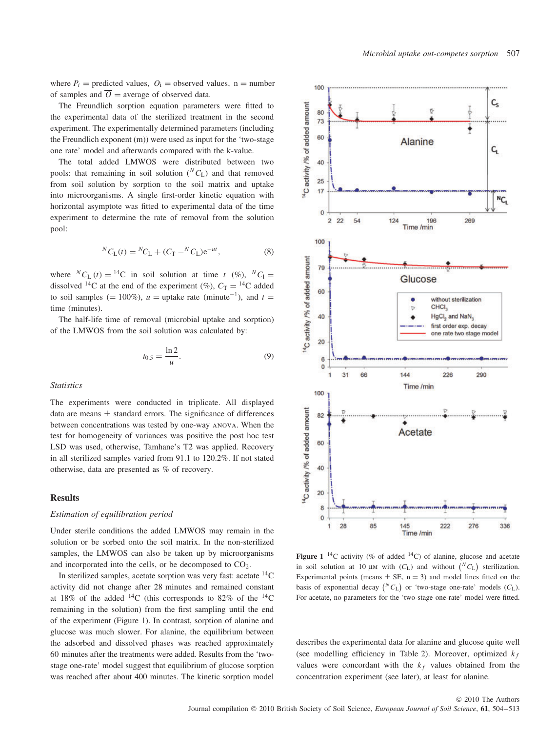where  $P_i$  = predicted values,  $Q_i$  = observed values, n = number of samples and  $\overline{O}$  = average of observed data.

The Freundlich sorption equation parameters were fitted to the experimental data of the sterilized treatment in the second experiment. The experimentally determined parameters (including the Freundlich exponent (m)) were used as input for the 'two-stage one rate' model and afterwards compared with the k-value.

The total added LMWOS were distributed between two pools: that remaining in soil solution  $({}^NC_L)$  and that removed from soil solution by sorption to the soil matrix and uptake into microorganisms. A single first-order kinetic equation with horizontal asymptote was fitted to experimental data of the time experiment to determine the rate of removal from the solution pool:

$$
{}^{N}C_{\text{L}}(t) = {}^{N}C_{\text{L}} + (C_{\text{T}} - {}^{N}C_{\text{L}})e^{-ut}, \tag{8}
$$

where  ${}^NC_L(t) = {}^{14}C$  in soil solution at time *t* (%),  ${}^NC_l =$ dissolved <sup>14</sup>C at the end of the experiment (%),  $C_T = {}^{14}C$  added to soil samples (= 100%),  $u =$  uptake rate  $(\text{minute}^{-1})$ , and  $t =$ time *(*minutes).

The half-life time of removal (microbial uptake and sorption) of the LMWOS from the soil solution was calculated by:

$$
t_{0.5} = \frac{\ln 2}{u}.\tag{9}
$$

*Statistics*

The experiments were conducted in triplicate. All displayed data are means  $\pm$  standard errors. The significance of differences between concentrations was tested by one-way anova. When the test for homogeneity of variances was positive the post hoc test LSD was used, otherwise, Tamhane's T2 was applied. Recovery in all sterilized samples varied from 91.1 to 120.2%. If not stated otherwise, data are presented as % of recovery.

# **Results**

#### *Estimation of equilibration period*

Under sterile conditions the added LMWOS may remain in the solution or be sorbed onto the soil matrix. In the non-sterilized samples, the LMWOS can also be taken up by microorganisms and incorporated into the cells, or be decomposed to  $CO<sub>2</sub>$ .

In sterilized samples, acetate sorption was very fast: acetate  ${}^{14}C$ activity did not change after 28 minutes and remained constant at 18% of the added  $^{14}$ C (this corresponds to 82% of the  $^{14}$ C remaining in the solution) from the first sampling until the end of the experiment (Figure 1). In contrast, sorption of alanine and glucose was much slower. For alanine, the equilibrium between the adsorbed and dissolved phases was reached approximately 60 minutes after the treatments were added. Results from the 'twostage one-rate' model suggest that equilibrium of glucose sorption was reached after about 400 minutes. The kinetic sorption model



**Figure 1** <sup>14</sup>C activity (% of added <sup>14</sup>C) of alanine, glucose and acetate in soil solution at 10  $\mu$ m with ( $C_L$ ) and without  $\binom{N}{L}$  sterilization. Experimental points (means  $\pm$  SE, n = 3) and model lines fitted on the basis of exponential decay  $({}^NC_L)$  or 'two-stage one-rate' models  $(C_L)$ . For acetate, no parameters for the 'two-stage one-rate' model were fitted.

describes the experimental data for alanine and glucose quite well (see modelling efficiency in Table 2). Moreover, optimized  $k_f$ values were concordant with the  $k_f$  values obtained from the concentration experiment (see later), at least for alanine.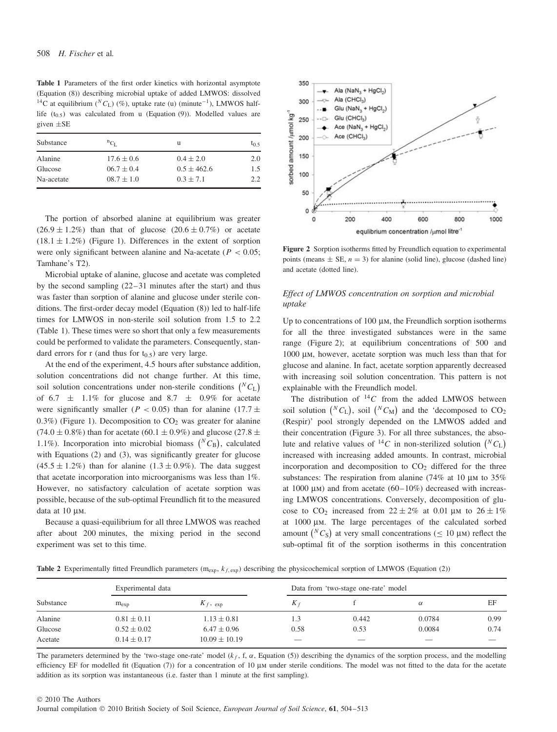**Table 1** Parameters of the first order kinetics with horizontal asymptote (Equation (8)) describing microbial uptake of added LMWOS: dissolved <sup>14</sup>C at equilibrium (<sup>*N*</sup>C<sub>L</sub>) (%), uptake rate (u) (minute<sup>-1</sup>), LMWOS halflife  $(t_{0.5})$  was calculated from u (Equation (9)). Modelled values are given ±SE

| Substance  | ${}^nC_L$      | u               | $t_{0.5}$ |
|------------|----------------|-----------------|-----------|
| Alanine    | $17.6 \pm 0.6$ | $0.4 \pm 2.0$   | 2.0       |
| Glucose    | $06.7 \pm 0.4$ | $0.5 \pm 462.6$ | 1.5       |
| Na-acetate | $08.7 \pm 1.0$ | $0.3 + 7.1$     | 22        |

The portion of absorbed alanine at equilibrium was greater  $(26.9 \pm 1.2\%)$  than that of glucose  $(20.6 \pm 0.7\%)$  or acetate  $(18.1 \pm 1.2\%)$  (Figure 1). Differences in the extent of sorption were only significant between alanine and Na-acetate (*P <* 0*.*05; Tamhane's T2).

Microbial uptake of alanine, glucose and acetate was completed by the second sampling (22–31 minutes after the start) and thus was faster than sorption of alanine and glucose under sterile conditions. The first-order decay model (Equation (8)) led to half-life times for LMWOS in non-sterile soil solution from 1.5 to 2.2 (Table 1). These times were so short that only a few measurements could be performed to validate the parameters. Consequently, standard errors for r (and thus for  $t_0$ ,  $\epsilon$ ) are very large.

At the end of the experiment, 4.5 hours after substance addition, solution concentrations did not change further. At this time, soil solution concentrations under non-sterile conditions  $\binom{N}{L}$ of 6.7  $\pm$  1.1% for glucose and 8.7  $\pm$  0.9% for acetate were significantly smaller ( $P < 0.05$ ) than for alanine (17.7  $\pm$  $0.3\%$ ) (Figure 1). Decomposition to  $CO<sub>2</sub>$  was greater for alanine  $(74.0 \pm 0.8\%)$  than for acetate (60.1  $\pm$  0.9%) and glucose (27.8  $\pm$ 1.1%). Incorporation into microbial biomass  $(^{N}C_{\text{B}})$ , calculated with Equations (2) and (3), was significantly greater for glucose  $(45.5 \pm 1.2\%)$  than for alanine  $(1.3 \pm 0.9\%)$ . The data suggest that acetate incorporation into microorganisms was less than 1%. However, no satisfactory calculation of acetate sorption was possible, because of the sub-optimal Freundlich fit to the measured data at 10 μm.

Because a quasi-equilibrium for all three LMWOS was reached after about 200 minutes, the mixing period in the second experiment was set to this time.



**Figure 2** Sorption isotherms fitted by Freundlich equation to experimental points (means  $\pm$  SE,  $n = 3$ ) for alanine (solid line), glucose (dashed line) and acetate (dotted line).

# *Effect of LMWOS concentration on sorption and microbial uptake*

Up to concentrations of 100 μm, the Freundlich sorption isotherms for all the three investigated substances were in the same range (Figure 2); at equilibrium concentrations of 500 and 1000 μm, however, acetate sorption was much less than that for glucose and alanine. In fact, acetate sorption apparently decreased with increasing soil solution concentration. This pattern is not explainable with the Freundlich model.

The distribution of  $^{14}C$  from the added LMWOS between soil solution  $\binom{N}{L}$ , soil  $\binom{N}{M}$  and the 'decomposed to CO<sub>2</sub> (Respir)' pool strongly depended on the LMWOS added and their concentration (Figure 3). For all three substances, the absolute and relative values of <sup>14</sup>C in non-sterilized solution  $(^{N}C_{\text{L}})$ increased with increasing added amounts. In contrast, microbial incorporation and decomposition to  $CO<sub>2</sub>$  differed for the three substances: The respiration from alanine (74% at 10 μm to 35% at 1000 μm) and from acetate  $(60-10\%)$  decreased with increasing LMWOS concentrations. Conversely, decomposition of glucose to CO<sub>2</sub> increased from  $22 \pm 2\%$  at 0.01 μm to  $26 \pm 1\%$ at 1000 μm. The large percentages of the calculated sorbed amount  $\binom{N}{S}$  at very small concentrations ( $\leq 10 \mu$ M) reflect the sub-optimal fit of the sorption isotherms in this concentration

**Table 2** Experimentally fitted Freundlich parameters  $(m_{exp}, k_{f, exp})$  describing the physicochemical sorption of LMWOS (Equation (2))

|           | Experimental data |                   | Data from 'two-stage one-rate' model |                          |                          |      |
|-----------|-------------------|-------------------|--------------------------------------|--------------------------|--------------------------|------|
| Substance | $m_{\rm exp}$     | $K_f$ , exp       | $K_{\ell}$                           |                          | α                        | EF   |
| Alanine   | $0.81 \pm 0.11$   | $1.13 \pm 0.81$   | 1.3                                  | 0.442                    | 0.0784                   | 0.99 |
| Glucose   | $0.52 \pm 0.02$   | $6.47 \pm 0.96$   | 0.58                                 | 0.53                     | 0.0084                   | 0.74 |
| Acetate   | $0.14 \pm 0.17$   | $10.09 \pm 10.19$ | $\overline{\phantom{a}}$             | $\overline{\phantom{a}}$ | $\overline{\phantom{a}}$ |      |

The parameters determined by the 'two-stage one-rate' model ( $k_f$ , f,  $\alpha$ , Equation (5)) describing the dynamics of the sorption process, and the modelling efficiency EF for modelled fit (Equation (7)) for a concentration of 10 μm under sterile conditions. The model was not fitted to the data for the acetate addition as its sorption was instantaneous (i.e. faster than 1 minute at the first sampling).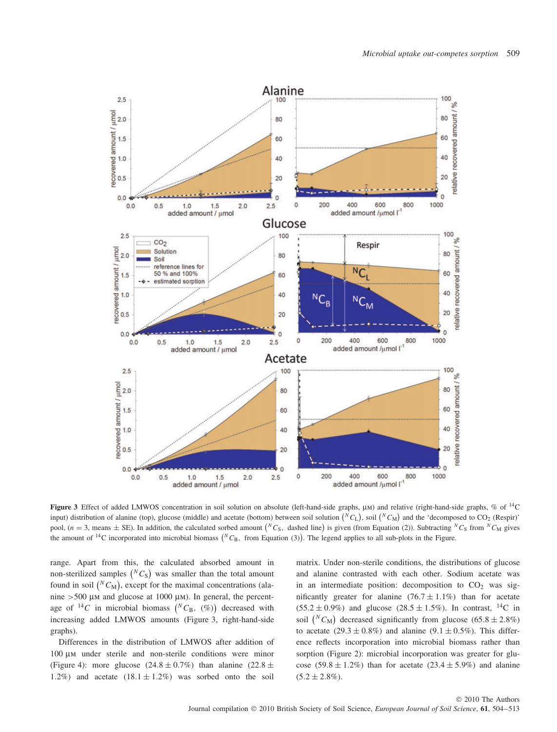

**Figure 3** Effect of added LMWOS concentration in soil solution on absolute (left-hand-side graphs, μm) and relative (right-hand-side graphs, % of 14C input) distribution of alanine (top), glucose (middle) and acetate (bottom) between soil solution  $\binom{N}{L}$ , soil  $\binom{N}{L}$  and the 'decomposed to CO<sub>2</sub> (Respir)' pool,  $(n = 3$ , means  $\pm$  SE). In addition, the calculated sorbed amount  $\binom{N}{S}$ , dashed line) is given (from Equation (2)). Subtracting  $\binom{N}{S}$  from  $\binom{N}{M}$  gives the amount of <sup>14</sup>C incorporated into microbial biomass ( ${}^NC_B$ , from Equation (3)). The legend applies to all sub-plots in the Figure.

range. Apart from this, the calculated absorbed amount in non-sterilized samples  $\binom{N}{S}$  was smaller than the total amount found in soil  $\binom{N}{M}$ , except for the maximal concentrations (alanine *>*500 μm and glucose at 1000 μm). In general, the percentage of  ${}^{14}C$  in microbial biomass  $({}^NC_B, (%))$  decreased with increasing added LMWOS amounts (Figure 3, right-hand-side graphs).

Differences in the distribution of LMWOS after addition of 100 μm under sterile and non-sterile conditions were minor (Figure 4): more glucose  $(24.8 \pm 0.7\%)$  than alanine  $(22.8 \pm 0.7\%)$ 1.2%) and acetate  $(18.1 \pm 1.2\%)$  was sorbed onto the soil

matrix. Under non-sterile conditions, the distributions of glucose and alanine contrasted with each other. Sodium acetate was in an intermediate position: decomposition to  $CO<sub>2</sub>$  was significantly greater for alanine  $(76.7 \pm 1.1\%)$  than for acetate  $(55.2 \pm 0.9\%)$  and glucose  $(28.5 \pm 1.5\%)$ . In contrast, <sup>14</sup>C in soil  $(^{N}C_{\text{M}})$  decreased significantly from glucose  $(65.8 \pm 2.8\%)$ to acetate  $(29.3 \pm 0.8\%)$  and alanine  $(9.1 \pm 0.5\%)$ . This difference reflects incorporation into microbial biomass rather than sorption (Figure 2): microbial incorporation was greater for glucose  $(59.8 \pm 1.2\%)$  than for acetate  $(23.4 \pm 5.9\%)$  and alanine  $(5.2 \pm 2.8\%)$ .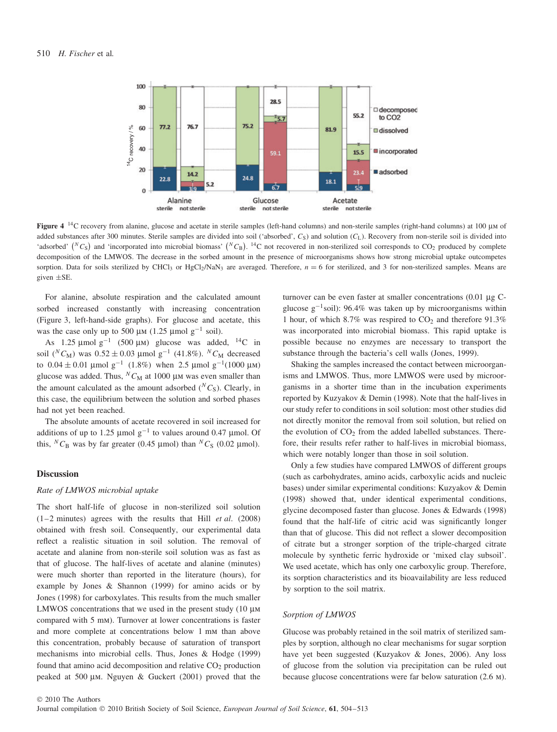

**Figure 4** 14C recovery from alanine, glucose and acetate in sterile samples (left-hand columns) and non-sterile samples (right-hand columns) at 100 μm of added substances after 300 minutes. Sterile samples are divided into soil ('absorbed',  $C<sub>S</sub>$ ) and solution ( $C<sub>L</sub>$ ). Recovery from non-sterile soil is divided into 'adsorbed'  $(^{N}C_{S})$  and 'incorporated into microbial biomass'  $(^{N}C_{B})$ . <sup>14</sup>C not recovered in non-sterilized soil corresponds to CO<sub>2</sub> produced by complete decomposition of the LMWOS. The decrease in the sorbed amount in the presence of microorganisms shows how strong microbial uptake outcompetes sorption. Data for soils sterilized by CHCl<sub>3</sub> or HgCl<sub>2</sub>/NaN<sub>3</sub> are averaged. Therefore,  $n = 6$  for sterilized, and 3 for non-sterilized samples. Means are given ±SE.

For alanine, absolute respiration and the calculated amount sorbed increased constantly with increasing concentration (Figure 3, left-hand-side graphs). For glucose and acetate, this was the case only up to 500 μm (1.25 μmol  $g^{-1}$  soil).

As  $1.25 \text{ µmol g}^{-1}$  (500 μm) glucose was added, <sup>14</sup>C in soil ( ${}^N C_M$ ) was  $0.52 \pm 0.03$  µmol g<sup>-1</sup> (41.8%). <sup>*N*</sup> *C<sub>M</sub>* decreased to  $0.04 \pm 0.01$  µmol g<sup>-1</sup> (1.8%) when 2.5 µmol g<sup>-1</sup>(1000 µm) glucose was added. Thus,  ${}^N C_M$  at 1000 μm was even smaller than the amount calculated as the amount adsorbed  $(^{N}C_{S})$ . Clearly, in this case, the equilibrium between the solution and sorbed phases had not yet been reached.

The absolute amounts of acetate recovered in soil increased for additions of up to 1.25 µmol  $g^{-1}$  to values around 0.47 µmol. Of this,  ${}^NC_B$  was by far greater (0.45 µmol) than  ${}^NC_S$  (0.02 µmol).

## **Discussion**

#### *Rate of LMWOS microbial uptake*

The short half-life of glucose in non-sterilized soil solution (1–2 minutes) agrees with the results that Hill *et al*. (2008) obtained with fresh soil. Consequently, our experimental data reflect a realistic situation in soil solution. The removal of acetate and alanine from non-sterile soil solution was as fast as that of glucose. The half-lives of acetate and alanine (minutes) were much shorter than reported in the literature (hours), for example by Jones & Shannon (1999) for amino acids or by Jones (1998) for carboxylates. This results from the much smaller LMWOS concentrations that we used in the present study (10 μm compared with 5 mm). Turnover at lower concentrations is faster and more complete at concentrations below 1 mm than above this concentration, probably because of saturation of transport mechanisms into microbial cells. Thus, Jones & Hodge (1999) found that amino acid decomposition and relative  $CO<sub>2</sub>$  production peaked at 500 μm. Nguyen & Guckert (2001) proved that the

turnover can be even faster at smaller concentrations (0.01 μg Cglucose  $g^{-1}$ soil): 96.4% was taken up by microorganisms within 1 hour, of which 8.7% was respired to  $CO<sub>2</sub>$  and therefore 91.3% was incorporated into microbial biomass. This rapid uptake is possible because no enzymes are necessary to transport the substance through the bacteria's cell walls (Jones, 1999).

Shaking the samples increased the contact between microorganisms and LMWOS. Thus, more LMWOS were used by microorganisms in a shorter time than in the incubation experiments reported by Kuzyakov & Demin (1998). Note that the half-lives in our study refer to conditions in soil solution: most other studies did not directly monitor the removal from soil solution, but relied on the evolution of  $CO<sub>2</sub>$  from the added labelled substances. Therefore, their results refer rather to half-lives in microbial biomass, which were notably longer than those in soil solution.

Only a few studies have compared LMWOS of different groups (such as carbohydrates, amino acids, carboxylic acids and nucleic bases) under similar experimental conditions: Kuzyakov & Demin (1998) showed that, under identical experimental conditions, glycine decomposed faster than glucose. Jones & Edwards (1998) found that the half-life of citric acid was significantly longer than that of glucose. This did not reflect a slower decomposition of citrate but a stronger sorption of the triple-charged citrate molecule by synthetic ferric hydroxide or 'mixed clay subsoil'. We used acetate, which has only one carboxylic group. Therefore, its sorption characteristics and its bioavailability are less reduced by sorption to the soil matrix.

## *Sorption of LMWOS*

Glucose was probably retained in the soil matrix of sterilized samples by sorption, although no clear mechanisms for sugar sorption have yet been suggested (Kuzyakov & Jones, 2006). Any loss of glucose from the solution via precipitation can be ruled out because glucose concentrations were far below saturation (2.6 m).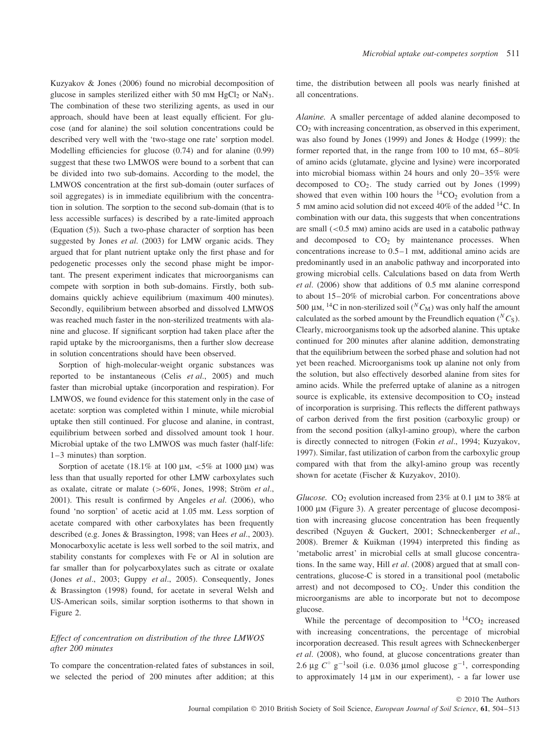Kuzyakov & Jones (2006) found no microbial decomposition of glucose in samples sterilized either with 50 mm  $HgCl<sub>2</sub>$  or NaN<sub>3</sub>. The combination of these two sterilizing agents, as used in our approach, should have been at least equally efficient. For glucose (and for alanine) the soil solution concentrations could be described very well with the 'two-stage one rate' sorption model. Modelling efficiencies for glucose (0.74) and for alanine (0.99) suggest that these two LMWOS were bound to a sorbent that can be divided into two sub-domains. According to the model, the LMWOS concentration at the first sub-domain (outer surfaces of soil aggregates) is in immediate equilibrium with the concentration in solution. The sorption to the second sub-domain (that is to less accessible surfaces) is described by a rate-limited approach (Equation (5)). Such a two-phase character of sorption has been suggested by Jones *et al*. (2003) for LMW organic acids. They argued that for plant nutrient uptake only the first phase and for pedogenetic processes only the second phase might be important. The present experiment indicates that microorganisms can compete with sorption in both sub-domains. Firstly, both subdomains quickly achieve equilibrium (maximum 400 minutes). Secondly, equilibrium between absorbed and dissolved LMWOS was reached much faster in the non-sterilized treatments with alanine and glucose. If significant sorption had taken place after the rapid uptake by the microorganisms, then a further slow decrease in solution concentrations should have been observed.

Sorption of high-molecular-weight organic substances was reported to be instantaneous (Celis *et al*., 2005) and much faster than microbial uptake (incorporation and respiration). For LMWOS, we found evidence for this statement only in the case of acetate: sorption was completed within 1 minute, while microbial uptake then still continued. For glucose and alanine, in contrast, equilibrium between sorbed and dissolved amount took 1 hour. Microbial uptake of the two LMWOS was much faster (half-life: 1–3 minutes) than sorption.

Sorption of acetate (18.1% at 100 μm, *<*5% at 1000 μm) was less than that usually reported for other LMW carboxylates such as oxalate, citrate or malate (*>*60%, Jones, 1998; Strom¨ *et al*., 2001). This result is confirmed by Angeles *et al*. (2006), who found 'no sorption' of acetic acid at 1.05 mm. Less sorption of acetate compared with other carboxylates has been frequently described (e.g. Jones & Brassington, 1998; van Hees *et al*., 2003). Monocarboxylic acetate is less well sorbed to the soil matrix, and stability constants for complexes with Fe or Al in solution are far smaller than for polycarboxylates such as citrate or oxalate (Jones *et al*., 2003; Guppy *et al*., 2005). Consequently, Jones & Brassington (1998) found, for acetate in several Welsh and US-American soils, similar sorption isotherms to that shown in Figure 2.

# *Effect of concentration on distribution of the three LMWOS after 200 minutes*

To compare the concentration-related fates of substances in soil, we selected the period of 200 minutes after addition; at this time, the distribution between all pools was nearly finished at all concentrations.

*Alanine.* A smaller percentage of added alanine decomposed to  $CO<sub>2</sub>$  with increasing concentration, as observed in this experiment, was also found by Jones (1999) and Jones & Hodge (1999): the former reported that, in the range from 100 to 10 mm, 65–80% of amino acids (glutamate, glycine and lysine) were incorporated into microbial biomass within 24 hours and only 20–35% were decomposed to  $CO<sub>2</sub>$ . The study carried out by Jones (1999) showed that even within 100 hours the  ${}^{14}CO_2$  evolution from a 5 mm amino acid solution did not exceed 40% of the added 14C. In combination with our data, this suggests that when concentrations are small (*<*0.5 mm) amino acids are used in a catabolic pathway and decomposed to  $CO<sub>2</sub>$  by maintenance processes. When concentrations increase to 0.5–1 mm, additional amino acids are predominantly used in an anabolic pathway and incorporated into growing microbial cells. Calculations based on data from Werth *et al*. (2006) show that additions of 0.5 mm alanine correspond to about 15–20% of microbial carbon. For concentrations above 500 μm, <sup>14</sup>C in non-sterilized soil  $({}^N C_M)$  was only half the amount calculated as the sorbed amount by the Freundlich equation ( ${}^N C_S$ ). Clearly, microorganisms took up the adsorbed alanine. This uptake continued for 200 minutes after alanine addition, demonstrating that the equilibrium between the sorbed phase and solution had not yet been reached. Microorganisms took up alanine not only from the solution, but also effectively desorbed alanine from sites for amino acids. While the preferred uptake of alanine as a nitrogen source is explicable, its extensive decomposition to  $CO<sub>2</sub>$  instead of incorporation is surprising. This reflects the different pathways of carbon derived from the first position (carboxylic group) or from the second position (alkyl-amino group), where the carbon is directly connected to nitrogen (Fokin *et al*., 1994; Kuzyakov, 1997). Similar, fast utilization of carbon from the carboxylic group compared with that from the alkyl-amino group was recently shown for acetate (Fischer & Kuzyakov, 2010).

*Glucose.* CO<sub>2</sub> evolution increased from 23% at 0.1  $\mu$ M to 38% at 1000 μm (Figure 3). A greater percentage of glucose decomposition with increasing glucose concentration has been frequently described (Nguyen & Guckert, 2001; Schneckenberger *et al*., 2008). Bremer & Kuikman (1994) interpreted this finding as 'metabolic arrest' in microbial cells at small glucose concentrations. In the same way, Hill *et al*. (2008) argued that at small concentrations, glucose-C is stored in a transitional pool (metabolic arrest) and not decomposed to  $CO<sub>2</sub>$ . Under this condition the microorganisms are able to incorporate but not to decompose glucose.

While the percentage of decomposition to  ${}^{14}CO_2$  increased with increasing concentrations, the percentage of microbial incorporation decreased. This result agrees with Schneckenberger *et al*. (2008), who found, at glucose concentrations greater than 2.6 μg  $C^\circ$  g<sup>-1</sup>soil (i.e. 0.036 μmol glucose g<sup>-1</sup>, corresponding to approximately 14 μm in our experiment), - a far lower use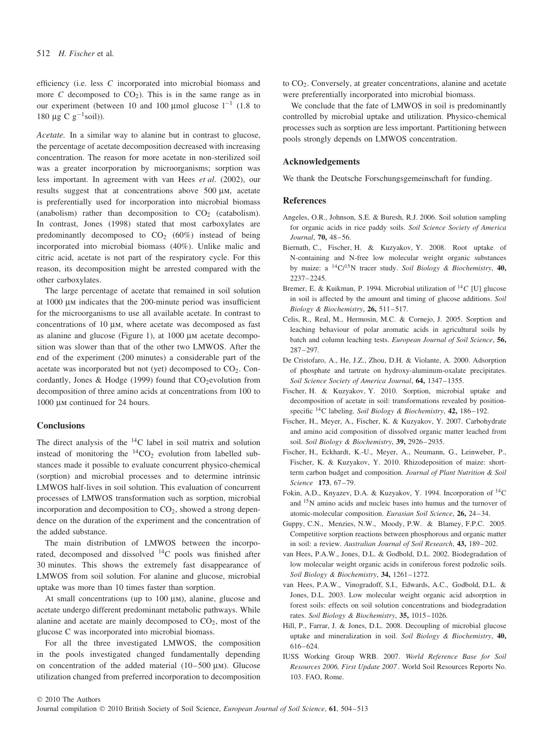efficiency (i.e. less *C* incorporated into microbial biomass and more *C* decomposed to  $CO<sub>2</sub>$ ). This is in the same range as in our experiment (between 10 and 100 µmol glucose  $l^{-1}$  (1.8 to 180 μg C  $g^{-1}$ soil)).

*Acetate.* In a similar way to alanine but in contrast to glucose, the percentage of acetate decomposition decreased with increasing concentration. The reason for more acetate in non-sterilized soil was a greater incorporation by microorganisms; sorption was less important. In agreement with van Hees *et al*. (2002), our results suggest that at concentrations above 500 μm, acetate is preferentially used for incorporation into microbial biomass (anabolism) rather than decomposition to  $CO<sub>2</sub>$  (catabolism). In contrast, Jones (1998) stated that most carboxylates are predominantly decomposed to  $CO<sub>2</sub>$  (60%) instead of being incorporated into microbial biomass (40%). Unlike malic and citric acid, acetate is not part of the respiratory cycle. For this reason, its decomposition might be arrested compared with the other carboxylates.

The large percentage of acetate that remained in soil solution at 1000 μm indicates that the 200-minute period was insufficient for the microorganisms to use all available acetate. In contrast to concentrations of 10 μm, where acetate was decomposed as fast as alanine and glucose (Figure 1), at 1000 μm acetate decomposition was slower than that of the other two LMWOS. After the end of the experiment (200 minutes) a considerable part of the acetate was incorporated but not (yet) decomposed to  $CO<sub>2</sub>$ . Concordantly, Jones & Hodge (1999) found that  $CO<sub>2</sub>$ evolution from decomposition of three amino acids at concentrations from 100 to 1000 μm continued for 24 hours.

#### **Conclusions**

The direct analysis of the  $^{14}$ C label in soil matrix and solution instead of monitoring the  ${}^{14}CO_2$  evolution from labelled substances made it possible to evaluate concurrent physico-chemical (sorption) and microbial processes and to determine intrinsic LMWOS half-lives in soil solution. This evaluation of concurrent processes of LMWOS transformation such as sorption, microbial incorporation and decomposition to  $CO<sub>2</sub>$ , showed a strong dependence on the duration of the experiment and the concentration of the added substance.

The main distribution of LMWOS between the incorporated, decomposed and dissolved  $^{14}$ C pools was finished after 30 minutes. This shows the extremely fast disappearance of LMWOS from soil solution. For alanine and glucose, microbial uptake was more than 10 times faster than sorption.

At small concentrations (up to 100 μm), alanine, glucose and acetate undergo different predominant metabolic pathways. While alanine and acetate are mainly decomposed to  $CO<sub>2</sub>$ , most of the glucose C was incorporated into microbial biomass.

For all the three investigated LMWOS, the composition in the pools investigated changed fundamentally depending on concentration of the added material (10–500 μm). Glucose utilization changed from preferred incorporation to decomposition to CO2. Conversely, at greater concentrations, alanine and acetate were preferentially incorporated into microbial biomass.

We conclude that the fate of LMWOS in soil is predominantly controlled by microbial uptake and utilization. Physico-chemical processes such as sorption are less important. Partitioning between pools strongly depends on LMWOS concentration.

#### **Acknowledgements**

We thank the Deutsche Forschungsgemeinschaft for funding.

## **References**

- Angeles, O.R., Johnson, S.E. & Buresh, R.J. 2006. Soil solution sampling for organic acids in rice paddy soils. *Soil Science Society of America Journal*, **70,** 48–56.
- Biernath, C., Fischer, H. & Kuzyakov, Y. 2008. Root uptake of N-containing and N-free low molecular weight organic substances by maize: a 14C/15N tracer study. *Soil Biology & Biochemistry*, **40,** 2237–2245.
- Bremer, E. & Kuikman, P. 1994. Microbial utilization of <sup>14</sup>*C* [U] glucose in soil is affected by the amount and timing of glucose additions. *Soil Biology & Biochemistry*, **26,** 511–517.
- Celis, R., Real, M., Hermosin, M.C. & Cornejo, J. 2005. Sorption and leaching behaviour of polar aromatic acids in agricultural soils by batch and column leaching tests. *European Journal of Soil Science*, **56,** 287–297.
- De Cristofaro, A., He, J.Z., Zhou, D.H. & Violante, A. 2000. Adsorption of phosphate and tartrate on hydroxy-aluminum-oxalate precipitates. *Soil Science Society of America Journal*, **64,** 1347–1355.
- Fischer, H. & Kuzyakov, Y. 2010. Sorption, microbial uptake and decomposition of acetate in soil: transformations revealed by positionspecific 14C labeling. *Soil Biology & Biochemistry*, **42,** 186–192.
- Fischer, H., Meyer, A., Fischer, K. & Kuzyakov, Y. 2007. Carbohydrate and amino acid composition of dissolved organic matter leached from soil. *Soil Biology & Biochemistry*, **39,** 2926–2935.
- Fischer, H., Eckhardt, K.-U., Meyer, A., Neumann, G., Leinweber, P., Fischer, K. & Kuzyakov, Y. 2010. Rhizodeposition of maize: shortterm carbon budget and composition. *Journal of Plant Nutrition & Soil Science* **173**, 67–79.
- Fokin, A.D., Knyazev, D.A. & Kuzyakov, Y. 1994. Incorporation of 14C and 15N amino acids and nucleic bases into humus and the turnover of atomic-molecular composition. *Eurasian Soil Science*, **26,** 24–34.
- Guppy, C.N., Menzies, N.W., Moody, P.W. & Blamey, F.P.C. 2005. Competitive sorption reactions between phosphorous and organic matter in soil: a review. *Australian Journal of Soil Research*, **43,** 189–202.
- van Hees, P.A.W., Jones, D.L. & Godbold, D.L. 2002. Biodegradation of low molecular weight organic acids in coniferous forest podzolic soils. *Soil Biology & Biochemistry*, **34,** 1261–1272.
- van Hees, P.A.W., Vinogradoff, S.I., Edwards, A.C., Godbold, D.L. & Jones, D.L. 2003. Low molecular weight organic acid adsorption in forest soils: effects on soil solution concentrations and biodegradation rates. *Soil Biology & Biochemistry*, **35,** 1015–1026.
- Hill, P., Farrar, J. & Jones, D.L. 2008. Decoupling of microbial glucose uptake and mineralization in soil. *Soil Biology & Biochemistry*, **40,** 616–624.
- IUSS Working Group WRB. 2007. *World Reference Base for Soil Resources 2006, First Update 2007* . World Soil Resources Reports No. 103. FAO, Rome.